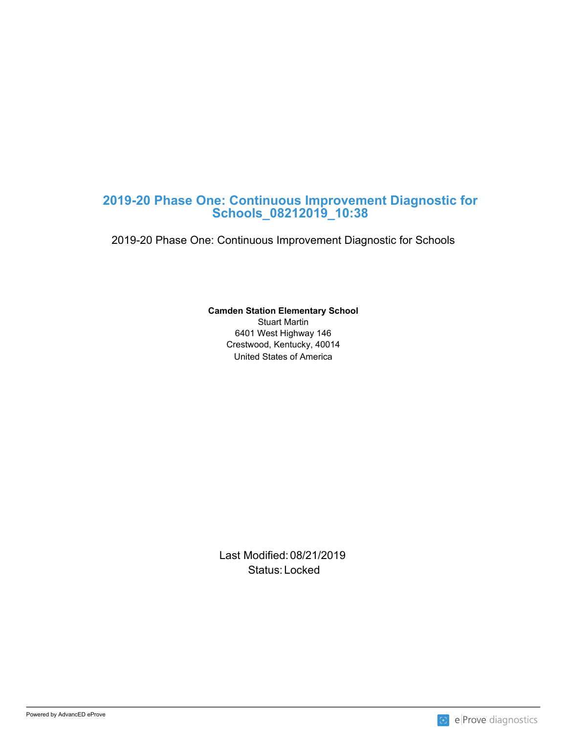# **2019-20 Phase One: Continuous Improvement Diagnostic for Schools\_08212019\_10:38**

2019-20 Phase One: Continuous Improvement Diagnostic for Schools

## **Camden Station Elementary School**

United States of America Stuart Martin 6401 West Highway 146 Crestwood, Kentucky, 40014

Last Modified: 08/21/2019 Status: Locked and the status of the status of the status of the status of the status of the status of the status of the status of the status of the status of the status of the status of the status of the status of the sta

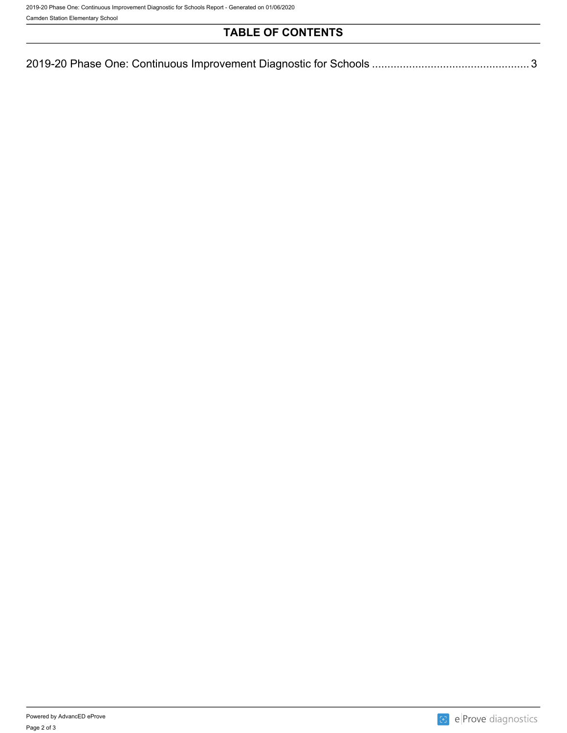2019-20 Phase One: Continuous Improvement Diagnostic for Schools Report - Generated on 01/06/2020

Camden Station Elementary School

# **TABLE OF CONTENTS**

| 2019-20 Phase One: Continuous Improvement Diagnostic for Schools |  |
|------------------------------------------------------------------|--|
|                                                                  |  |